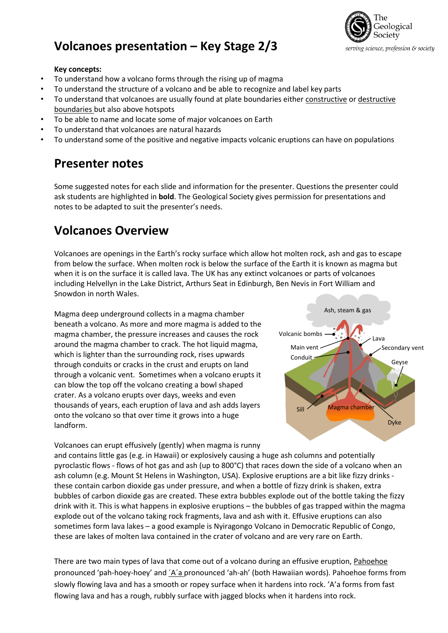



#### **Key concepts:**

- To understand how a volcano forms through the rising up of magma
- To understand the structure of a volcano and be able to recognize and label key parts
- To understand that volcanoes are usually found at plate boundaries either constructive or destructive boundaries but also above hotspots
- To be able to name and locate some of major volcanoes on Earth
- To understand that volcanoes are natural hazards
- To understand some of the positive and negative impacts volcanic eruptions can have on populations

# **Presenter notes**

Some suggested notes for each slide and information for the presenter. Questions the presenter could ask students are highlighted in **bold**. The Geological Society gives permission for presentations and notes to be adapted to suit the presenter's needs.

# **Volcanoes Overview**

Volcanoes are openings in the Earth's rocky surface which allow hot molten rock, ash and gas to escape from below the surface. When molten rock is below the surface of the Earth it is known as magma but when it is on the surface it is called lava. The UK has any extinct volcanoes or parts of volcanoes including Helvellyn in the Lake District, Arthurs Seat in Edinburgh, Ben Nevis in Fort William and Snowdon in north Wales.

Magma deep underground collects in a magma chamber beneath a volcano. As more and more magma is added to the magma chamber, the pressure increases and causes the rock around the magma chamber to crack. The hot liquid magma, which is lighter than the surrounding rock, rises upwards through conduits or cracks in the crust and erupts on land through a volcanic vent. Sometimes when a volcano erupts it can blow the top off the volcano creating a bowl shaped crater. As a volcano erupts over days, weeks and even thousands of years, each eruption of lava and ash adds layers onto the volcano so that over time it grows into a huge landform.



Volcanoes can erupt effusively (gently) when magma is runny and contains little gas (e.g. in Hawaii) or explosively causing a huge ash columns and potentially pyroclastic flows - flows of hot gas and ash (up to 800°C) that races down the side of a volcano when an ash column (e.g. Mount St Helens in Washington, USA). Explosive eruptions are a bit like fizzy drinks these contain carbon dioxide gas under pressure, and when a bottle of fizzy drink is shaken, extra bubbles of carbon dioxide gas are created. These extra bubbles explode out of the bottle taking the fizzy drink with it. This is what happens in explosive eruptions – the bubbles of gas trapped within the magma explode out of the volcano taking rock fragments, lava and ash with it. Effusive eruptions can also sometimes form lava lakes – a good example is Nyiragongo Volcano in Democratic Republic of Congo, these are lakes of molten lava contained in the crater of volcano and are very rare on Earth.

There are two main types of lava that come out of a volcano during an effusive eruption, Pahoehoe pronounced 'pah-hoey-hoey' and ´A´a pronounced 'ah-ah' (both Hawaiian words). Pahoehoe forms from slowly flowing lava and has a smooth or ropey surface when it hardens into rock. 'A'a forms from fast flowing lava and has a rough, rubbly surface with jagged blocks when it hardens into rock.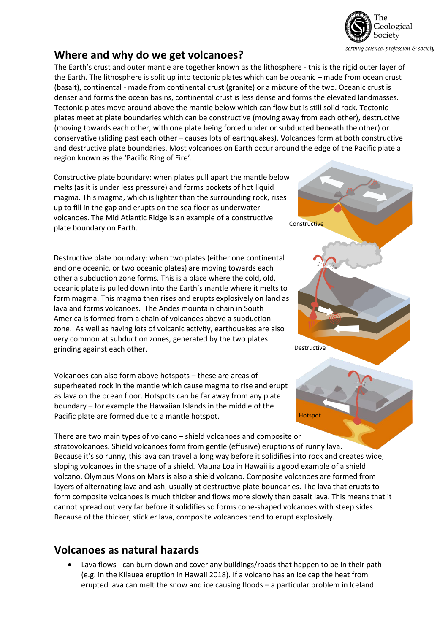

## **Where and why do we get volcanoes?**

The Earth's crust and outer mantle are together known as the lithosphere - this is the rigid outer layer of the Earth. The lithosphere is split up into tectonic plates which can be oceanic – made from ocean crust (basalt), continental - made from continental crust (granite) or a mixture of the two. Oceanic crust is denser and forms the ocean basins, continental crust is less dense and forms the elevated landmasses. Tectonic plates move around above the mantle below which can flow but is still solid rock. Tectonic plates meet at plate boundaries which can be constructive (moving away from each other), destructive (moving towards each other, with one plate being forced under or subducted beneath the other) or conservative (sliding past each other – causes lots of earthquakes). Volcanoes form at both constructive and destructive plate boundaries. Most volcanoes on Earth occur around the edge of the Pacific plate a region known as the 'Pacific Ring of Fire'.

Constructive plate boundary: when plates pull apart the mantle below melts (as it is under less pressure) and forms pockets of hot liquid magma. This magma, which is lighter than the surrounding rock, rises up to fill in the gap and erupts on the sea floor as underwater volcanoes. The Mid Atlantic Ridge is an example of a constructive plate boundary on Earth.

Destructive plate boundary: when two plates (either one continental and one oceanic, or two oceanic plates) are moving towards each other a subduction zone forms. This is a place where the cold, old, oceanic plate is pulled down into the Earth's mantle where it melts to form magma. This magma then rises and erupts explosively on land as lava and forms volcanoes. The Andes mountain chain in South America is formed from a chain of volcanoes above a subduction zone. As well as having lots of volcanic activity, earthquakes are also very common at subduction zones, generated by the two plates grinding against each other.

Volcanoes can also form above hotspots – these are areas of superheated rock in the mantle which cause magma to rise and erupt as lava on the ocean floor. Hotspots can be far away from any plate boundary – for example the Hawaiian Islands in the middle of the Pacific plate are formed due to a mantle hotspot.

**Constructive** Destructive

Hotspot

There are two main types of volcano – shield volcanoes and composite or stratovolcanoes. Shield volcanoes form from gentle (effusive) eruptions of runny lava. Because it's so runny, this lava can travel a long way before it solidifies into rock and creates wide, sloping volcanoes in the shape of a shield. Mauna Loa in Hawaii is a good example of a shield volcano, Olympus Mons on Mars is also a shield volcano. Composite volcanoes are formed from layers of alternating lava and ash, usually at destructive plate boundaries. The lava that erupts to form composite volcanoes is much thicker and flows more slowly than basalt lava. This means that it cannot spread out very far before it solidifies so forms cone-shaped volcanoes with steep sides. Because of the thicker, stickier lava, composite volcanoes tend to erupt explosively.

## **Volcanoes as natural hazards**

 Lava flows - can burn down and cover any buildings/roads that happen to be in their path (e.g. in the Kilauea eruption in Hawaii 2018). If a volcano has an ice cap the heat from erupted lava can melt the snow and ice causing floods – a particular problem in Iceland.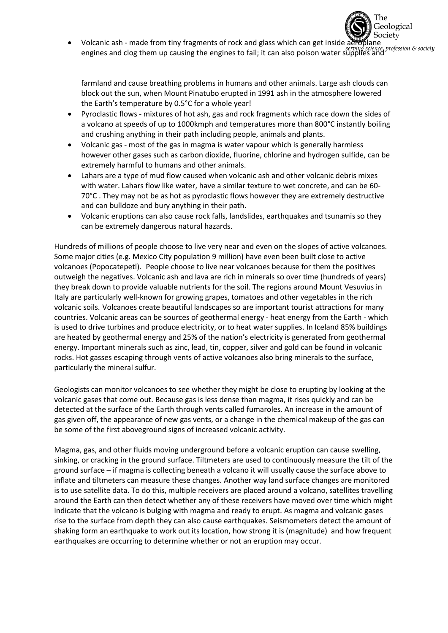Society Volcanic ash - made from tiny fragments of rock and glass which can get inside aeroplane engines and clog them up causing the engines to fail; it can also poison water supplies and<br>engines and engines and

The

Geological

farmland and cause breathing problems in humans and other animals. Large ash clouds can block out the sun, when Mount Pinatubo erupted in 1991 ash in the atmosphere lowered the Earth's temperature by 0.5°C for a whole year!

- Pyroclastic flows mixtures of hot ash, gas and rock fragments which race down the sides of a volcano at speeds of up to 1000kmph and temperatures more than 800°C instantly boiling and crushing anything in their path including people, animals and plants.
- Volcanic gas most of the gas in magma is water vapour which is generally harmless however other gases such as carbon dioxide, fluorine, chlorine and hydrogen sulfide, can be extremely harmful to humans and other animals.
- Lahars are a type of mud flow caused when volcanic ash and other volcanic debris mixes with water. Lahars flow like water, have a similar texture to wet concrete, and can be 60- 70°C . They may not be as hot as pyroclastic flows however they are extremely destructive and can bulldoze and bury anything in their path.
- Volcanic eruptions can also cause rock falls, landslides, earthquakes and tsunamis so they can be extremely dangerous natural hazards.

Hundreds of millions of people choose to live very near and even on the slopes of active volcanoes. Some major cities (e.g. Mexico City population 9 million) have even been built close to active volcanoes (Popocatepetl). People choose to live near volcanoes because for them the positives outweigh the negatives. Volcanic ash and lava are rich in minerals so over time (hundreds of years) they break down to provide valuable nutrients for the soil. The regions around Mount Vesuvius in Italy are particularly well-known for growing grapes, tomatoes and other vegetables in the rich volcanic soils. Volcanoes create beautiful landscapes so are important tourist attractions for many countries. Volcanic areas can be sources of geothermal energy - heat energy from the Earth - which is used to drive turbines and produce electricity, or to heat water supplies. In Iceland 85% buildings are heated by geothermal energy and 25% of the nation's electricity is generated from geothermal energy. Important minerals such as zinc, lead, tin, copper, silver and gold can be found in volcanic rocks. Hot gasses escaping through vents of active volcanoes also bring minerals to the surface, particularly the mineral sulfur.

Geologists can monitor volcanoes to see whether they might be close to erupting by looking at the volcanic gases that come out. Because gas is less dense than magma, it rises quickly and can be detected at the surface of the Earth through vents called fumaroles. An increase in the amount of gas given off, the appearance of new gas vents, or a change in the chemical makeup of the gas can be some of the first aboveground signs of increased volcanic activity.

Magma, gas, and other fluids moving underground before a volcanic eruption can cause swelling, sinking, or cracking in the ground surface. Tiltmeters are used to continuously measure the tilt of the ground surface – if magma is collecting beneath a volcano it will usually cause the surface above to inflate and tiltmeters can measure these changes. Another way land surface changes are monitored is to use satellite data. To do this, multiple receivers are placed around a volcano, satellites travelling around the Earth can then detect whether any of these receivers have moved over time which might indicate that the volcano is bulging with magma and ready to erupt. As magma and volcanic gases rise to the surface from depth they can also cause earthquakes. Seismometers detect the amount of shaking form an earthquake to work out its location, how strong it is (magnitude) and how frequent earthquakes are occurring to determine whether or not an eruption may occur.